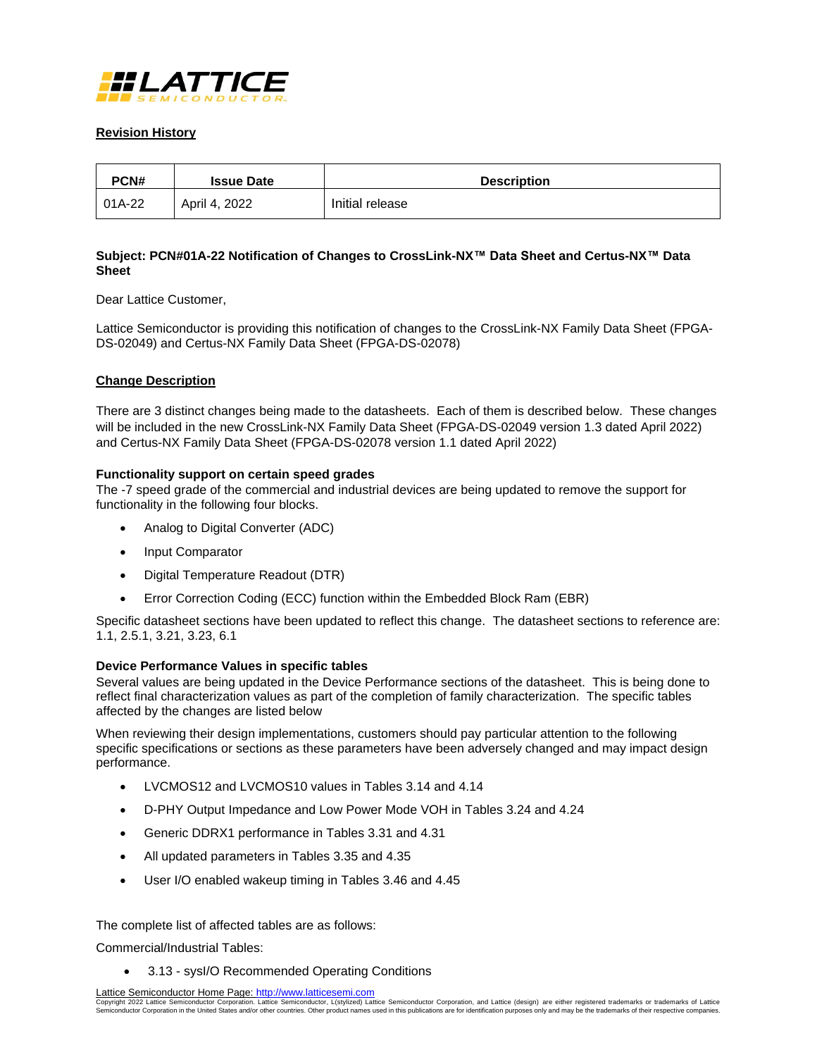

### **Revision History**

| PCN#   | <b>Issue Date</b> | <b>Description</b> |
|--------|-------------------|--------------------|
| 01A-22 | April 4, 2022     | Initial release    |

# **Subject: PCN#01A-22 Notification of Changes to CrossLink-NX™ Data Sheet and Certus-NX™ Data Sheet**

Dear Lattice Customer,

Lattice Semiconductor is providing this notification of changes to the CrossLink-NX Family Data Sheet (FPGA-DS-02049) and Certus-NX Family Data Sheet (FPGA-DS-02078)

### **Change Description**

There are 3 distinct changes being made to the datasheets. Each of them is described below. These changes will be included in the new CrossLink-NX Family Data Sheet (FPGA-DS-02049 version 1.3 dated April 2022) and Certus-NX Family Data Sheet (FPGA-DS-02078 version 1.1 dated April 2022)

### **Functionality support on certain speed grades**

The -7 speed grade of the commercial and industrial devices are being updated to remove the support for functionality in the following four blocks.

- Analog to Digital Converter (ADC)
- Input Comparator
- Digital Temperature Readout (DTR)
- Error Correction Coding (ECC) function within the Embedded Block Ram (EBR)

Specific datasheet sections have been updated to reflect this change. The datasheet sections to reference are: 1.1, 2.5.1, 3.21, 3.23, 6.1

### **Device Performance Values in specific tables**

Several values are being updated in the Device Performance sections of the datasheet. This is being done to reflect final characterization values as part of the completion of family characterization. The specific tables affected by the changes are listed below

When reviewing their design implementations, customers should pay particular attention to the following specific specifications or sections as these parameters have been adversely changed and may impact design performance.

- LVCMOS12 and LVCMOS10 values in Tables 3.14 and 4.14
- D-PHY Output Impedance and Low Power Mode VOH in Tables 3.24 and 4.24
- Generic DDRX1 performance in Tables 3.31 and 4.31
- All updated parameters in Tables 3.35 and 4.35
- User I/O enabled wakeup timing in Tables 3.46 and 4.45

The complete list of affected tables are as follows:

Commercial/Industrial Tables:

3.13 - sysI/O Recommended Operating Conditions

Lattice Semiconductor Home Page: http://www.latticesemi.com

Copyright 2022 Lattice Semiconductor Corporation. Lattice Semiconductor, L(stylized) Lattice Semiconductor Corporation, and Lattice (design) are either registered trademarks or trademarks of Lattice<br>Semiconductor Corporati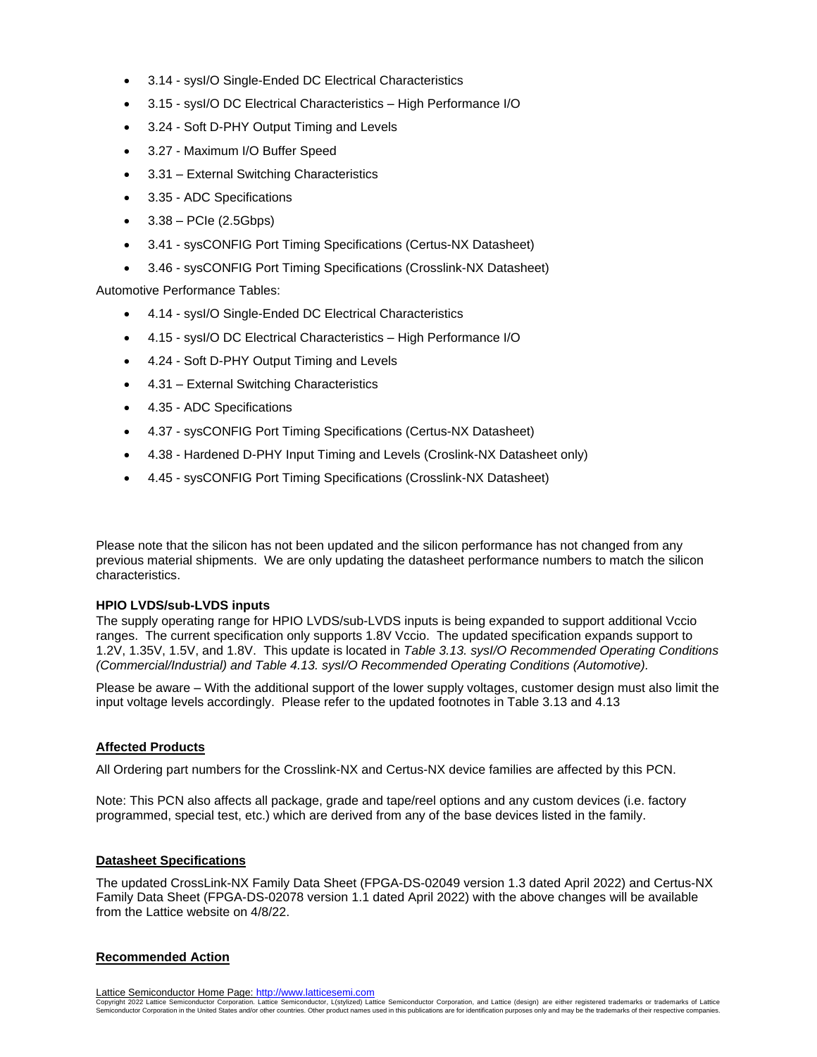- 3.14 sysI/O Single-Ended DC Electrical Characteristics
- 3.15 sysI/O DC Electrical Characteristics High Performance I/O
- 3.24 Soft D-PHY Output Timing and Levels
- 3.27 Maximum I/O Buffer Speed
- 3.31 External Switching Characteristics
- 3.35 ADC Specifications
- $\bullet$  3.38 PCIe (2.5Gbps)
- 3.41 sysCONFIG Port Timing Specifications (Certus-NX Datasheet)
- 3.46 sysCONFIG Port Timing Specifications (Crosslink-NX Datasheet)

Automotive Performance Tables:

- 4.14 sysI/O Single-Ended DC Electrical Characteristics
- 4.15 sysI/O DC Electrical Characteristics High Performance I/O
- 4.24 Soft D-PHY Output Timing and Levels
- 4.31 External Switching Characteristics
- 4.35 ADC Specifications
- 4.37 sysCONFIG Port Timing Specifications (Certus-NX Datasheet)
- 4.38 Hardened D-PHY Input Timing and Levels (Croslink-NX Datasheet only)
- 4.45 sysCONFIG Port Timing Specifications (Crosslink-NX Datasheet)

Please note that the silicon has not been updated and the silicon performance has not changed from any previous material shipments. We are only updating the datasheet performance numbers to match the silicon characteristics.

# **HPIO LVDS/sub-LVDS inputs**

The supply operating range for HPIO LVDS/sub-LVDS inputs is being expanded to support additional Vccio ranges. The current specification only supports 1.8V Vccio. The updated specification expands support to 1.2V, 1.35V, 1.5V, and 1.8V. This update is located in *Table 3.13. sysI/O Recommended Operating Conditions (Commercial/Industrial) and Table 4.13. sysI/O Recommended Operating Conditions (Automotive).*

Please be aware – With the additional support of the lower supply voltages, customer design must also limit the input voltage levels accordingly. Please refer to the updated footnotes in Table 3.13 and 4.13

# **Affected Products**

All Ordering part numbers for the Crosslink-NX and Certus-NX device families are affected by this PCN.

Note: This PCN also affects all package, grade and tape/reel options and any custom devices (i.e. factory programmed, special test, etc.) which are derived from any of the base devices listed in the family.

### **Datasheet Specifications**

The updated CrossLink-NX Family Data Sheet (FPGA-DS-02049 version 1.3 dated April 2022) and Certus-NX Family Data Sheet (FPGA-DS-02078 version 1.1 dated April 2022) with the above changes will be available from the Lattice website on 4/8/22.

# **Recommended Action**

Lattice Semiconductor Home Page: http://www.latticesemi.com

Copyright 2022 Lattice Semiconductor Corporation. Lattice Semiconductor, L(stylized) Lattice Semiconductor Corporation, and Lattice (design) are either registered trademarks or trademarks of Lattice<br>Semiconductor Corporati